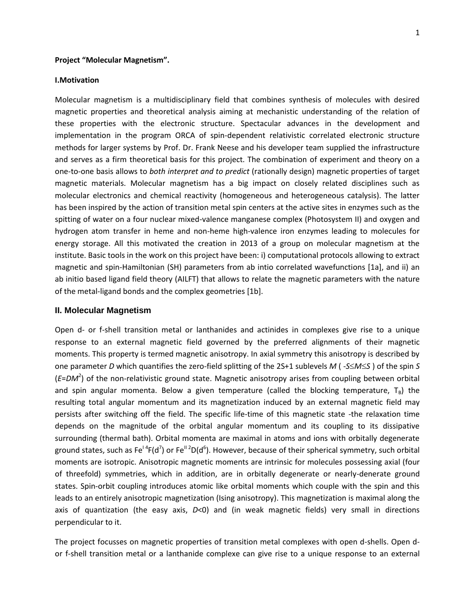### **Project "Molecular Magnetism".**

#### **I.Motivation**

Molecular magnetism is a multidisciplinary field that combines synthesis of molecules with desired magnetic properties and theoretical analysis aiming at mechanistic understanding of the relation of these properties with the electronic structure. Spectacular advances in the development and implementation in the program ORCA of spin-dependent relativistic correlated electronic structure methods for larger systems by Prof. Dr. Frank Neese and his developer team supplied the infrastructure and serves as a firm theoretical basis for this project. The combination of experiment and theory on a one-to-one basis allows to *both interpret and to predict* (rationally design) magnetic properties of target magnetic materials. Molecular magnetism has a big impact on closely related disciplines such as molecular electronics and chemical reactivity (homogeneous and heterogeneous catalysis). The latter has been inspired by the action of transition metal spin centers at the active sites in enzymes such as the spitting of water on a four nuclear mixed-valence manganese complex (Photosystem II) and oxygen and hydrogen atom transfer in heme and non-heme high-valence iron enzymes leading to molecules for energy storage. All this motivated the creation in 2013 of a group on molecular magnetism at the institute. Basic tools in the work on this project have been: i) computational protocols allowing to extract magnetic and spin-Hamiltonian (SH) parameters from ab intio correlated wavefunctions [1a], and ii) an ab initio based ligand field theory (AILFT) that allows to relate the magnetic parameters with the nature of the metal-ligand bonds and the complex geometries [1b].

### **II. Molecular Magnetism**

Open d- or f-shell transition metal or lanthanides and actinides in complexes give rise to a unique response to an external magnetic field governed by the preferred alignments of their magnetic moments. This property is termed magnetic anisotropy. In axial symmetry this anisotropy is described by one parameter *D* which quantifies the zero-field splitting of the 2S+1 sublevels *M* ( -*SMS* ) of the spin *S* (*E*=*DM*<sup>2</sup> ) of the non-relativistic ground state. Magnetic anisotropy arises from coupling between orbital and spin angular momenta. Below a given temperature (called the blocking temperature,  $T_B$ ) the resulting total angular momentum and its magnetization induced by an external magnetic field may persists after switching off the field. The specific life-time of this magnetic state -the relaxation time depends on the magnitude of the orbital angular momentum and its coupling to its dissipative surrounding (thermal bath). Orbital momenta are maximal in atoms and ions with orbitally degenerate ground states, such as Fe<sup>I 4</sup>F(d<sup>7</sup>) or Fe<sup>II 2</sup>D(d<sup>6</sup>). However, because of their spherical symmetry, such orbital moments are isotropic. Anisotropic magnetic moments are intrinsic for molecules possessing axial (four of threefold) symmetries, which in addition, are in orbitally degenerate or nearly-denerate ground states. Spin-orbit coupling introduces atomic like orbital moments which couple with the spin and this leads to an entirely anisotropic magnetization (Ising anisotropy). This magnetization is maximal along the axis of quantization (the easy axis, *D*<0) and (in weak magnetic fields) very small in directions perpendicular to it.

The project focusses on magnetic properties of transition metal complexes with open d-shells. Open dor f-shell transition metal or a lanthanide complexe can give rise to a unique response to an external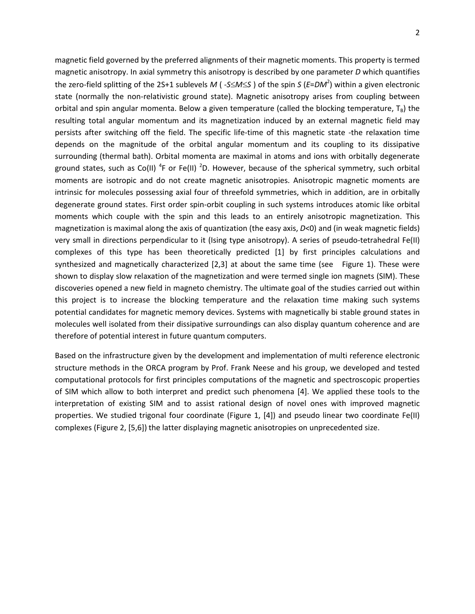magnetic field governed by the preferred alignments of their magnetic moments. This property is termed magnetic anisotropy. In axial symmetry this anisotropy is described by one parameter *D* which quantifies the zero-field splitting of the 2S+1 sublevels *M* ( -*SMS* ) of the spin *S* (*E*=*DM*<sup>2</sup> ) within a given electronic state (normally the non-relativistic ground state). Magnetic anisotropy arises from coupling between orbital and spin angular momenta. Below a given temperature (called the blocking temperature,  $T_B$ ) the resulting total angular momentum and its magnetization induced by an external magnetic field may persists after switching off the field. The specific life-time of this magnetic state -the relaxation time depends on the magnitude of the orbital angular momentum and its coupling to its dissipative surrounding (thermal bath). Orbital momenta are maximal in atoms and ions with orbitally degenerate ground states, such as Co(II)<sup>4</sup>F or Fe(II)<sup>2</sup>D. However, because of the spherical symmetry, such orbital moments are isotropic and do not create magnetic anisotropies. Anisotropic magnetic moments are intrinsic for molecules possessing axial four of threefold symmetries, which in addition, are in orbitally degenerate ground states. First order spin-orbit coupling in such systems introduces atomic like orbital moments which couple with the spin and this leads to an entirely anisotropic magnetization. This magnetization is maximal along the axis of quantization (the easy axis, *D*<0) and (in weak magnetic fields) very small in directions perpendicular to it (Ising type anisotropy). A series of pseudo-tetrahedral Fe(II) complexes of this type has been theoretically predicted [1] by first principles calculations and synthesized and magnetically characterized [2,3] at about the same time (see Figure 1). These were shown to display slow relaxation of the magnetization and were termed single ion magnets (SIM). These discoveries opened a new field in magneto chemistry. The ultimate goal of the studies carried out within this project is to increase the blocking temperature and the relaxation time making such systems potential candidates for magnetic memory devices. Systems with magnetically bi stable ground states in molecules well isolated from their dissipative surroundings can also display quantum coherence and are therefore of potential interest in future quantum computers.

Based on the infrastructure given by the development and implementation of multi reference electronic structure methods in the ORCA program by Prof. Frank Neese and his group, we developed and tested computational protocols for first principles computations of the magnetic and spectroscopic properties of SIM which allow to both interpret and predict such phenomena [4]. We applied these tools to the interpretation of existing SIM and to assist rational design of novel ones with improved magnetic properties. We studied trigonal four coordinate (Figure 1, [4]) and pseudo linear two coordinate Fe(II) complexes (Figure 2, [5,6]) the latter displaying magnetic anisotropies on unprecedented size.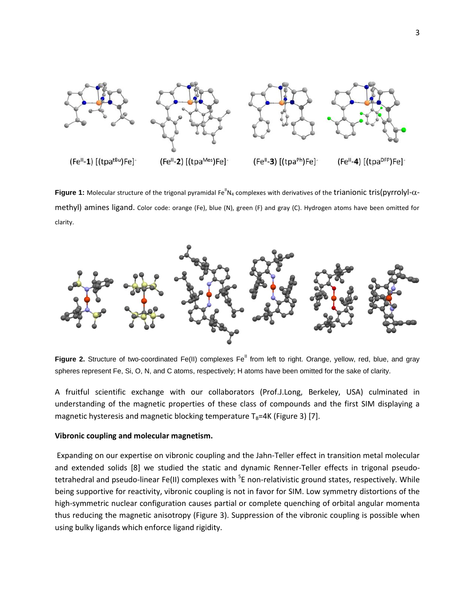

**Figure 1:** Molecular structure of the trigonal pyramidal Fe<sup>II</sup>N<sub>4</sub> complexes with derivatives of the trianionic tris(pyrrolyl- $\alpha$ methyl) amines ligand. Color code: orange (Fe), blue (N), green (F) and gray (C). Hydrogen atoms have been omitted for clarity.



Figure 2. Structure of two-coordinated Fe(II) complexes Fe<sup>II</sup> from left to right. Orange, yellow, red, blue, and gray spheres represent Fe, Si, O, N, and C atoms, respectively; H atoms have been omitted for the sake of clarity.

A fruitful scientific exchange with our collaborators (Prof.J.Long, Berkeley, USA) culminated in understanding of the magnetic properties of these class of compounds and the first SIM displaying a magnetic hysteresis and magnetic blocking temperature  $T_B=4K$  (Figure 3) [7].

### **Vibronic coupling and molecular magnetism.**

Expanding on our expertise on vibronic coupling and the Jahn-Teller effect in transition metal molecular and extended solids [8] we studied the static and dynamic Renner-Teller effects in trigonal pseudotetrahedral and pseudo-linear Fe(II) complexes with <sup>5</sup>E non-relativistic ground states, respectively. While being supportive for reactivity, vibronic coupling is not in favor for SIM. Low symmetry distortions of the high-symmetric nuclear configuration causes partial or complete quenching of orbital angular momenta thus reducing the magnetic anisotropy (Figure 3). Suppression of the vibronic coupling is possible when using bulky ligands which enforce ligand rigidity.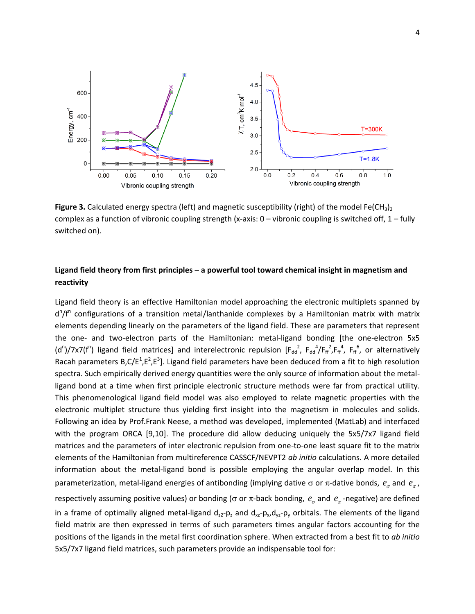

Figure 3. Calculated energy spectra (left) and magnetic susceptibility (right) of the model Fe(CH<sub>3</sub>)<sub>2</sub> complex as a function of vibronic coupling strength (x-axis:  $0 -$  vibronic coupling is switched off,  $1 -$  fully switched on).

# **Ligand field theory from first principles – a powerful tool toward chemical insight in magnetism and reactivity**

Ligand field theory is an effective Hamiltonian model approaching the electronic multiplets spanned by d<sup>n</sup>/f<sup>n</sup> configurations of a transition metal/lanthanide complexes by a Hamiltonian matrix with matrix elements depending linearly on the parameters of the ligand field. These are parameters that represent the one- and two-electron parts of the Hamiltonian: metal-ligand bonding [the one-electron 5x5 (d<sup>n</sup>)/7x7(f<sup>n</sup>) ligand field matrices] and interelectronic repulsion [F<sub>dd</sub><sup>2</sup>, F<sub>dd</sub><sup>4</sup>/F<sub>ff</sub><sup>2</sup>,F<sub>ff</sub><sup>4</sup>, F<sub>ff</sub><sup>6</sup>, or alternatively Racah parameters  $B$ , $C/E^{1}$ , $E^{2}$ , $E^{3}$ ]. Ligand field parameters have been deduced from a fit to high resolution spectra. Such empirically derived energy quantities were the only source of information about the metalligand bond at a time when first principle electronic structure methods were far from practical utility. This phenomenological ligand field model was also employed to relate magnetic properties with the electronic multiplet structure thus yielding first insight into the magnetism in molecules and solids. Following an idea by Prof.Frank Neese, a method was developed, implemented (MatLab) and interfaced with the program ORCA [9,10]. The procedure did allow deducing uniquely the 5x5/7x7 ligand field matrices and the parameters of inter electronic repulsion from one-to-one least square fit to the matrix elements of the Hamiltonian from multireference CASSCF/NEVPT2 *ab initio* calculations. A more detailed information about the metal-ligand bond is possible employing the angular overlap model. In this parameterization, metal-ligand energies of antibonding (implying dative  $\sigma$  or  $\pi$ -dative bonds,  $e_{\sigma}$  and  $e_{\pi}$ , respectively assuming positive values) or bonding ( $\sigma$  or  $\pi$ -back bonding,  $e_{\sigma}$  and  $e_{\pi}$ -negative) are defined in a frame of optimally aligned metal-ligand  $d_{z2}$ -p<sub>z</sub> and  $d_{xz}$ -p<sub>x</sub>, $d_{yz}$ -p<sub>y</sub> orbitals. The elements of the ligand field matrix are then expressed in terms of such parameters times angular factors accounting for the positions of the ligands in the metal first coordination sphere. When extracted from a best fit to *ab initio* 5x5/7x7 ligand field matrices, such parameters provide an indispensable tool for: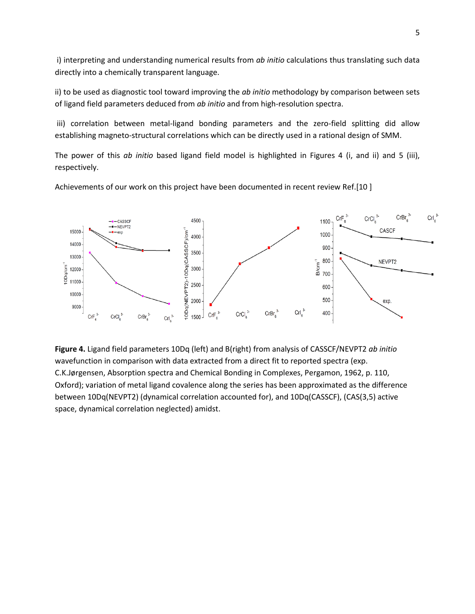i) interpreting and understanding numerical results from *ab initio* calculations thus translating such data directly into a chemically transparent language.

ii) to be used as diagnostic tool toward improving the *ab initio* methodology by comparison between sets of ligand field parameters deduced from *ab initio* and from high-resolution spectra.

iii) correlation between metal-ligand bonding parameters and the zero-field splitting did allow establishing magneto-structural correlations which can be directly used in a rational design of SMM.

The power of this *ab initio* based ligand field model is highlighted in Figures 4 (i, and ii) and 5 (iii), respectively.

Achievements of our work on this project have been documented in recent review Ref.[10 ]



**Figure 4.** Ligand field parameters 10Dq (left) and B(right) from analysis of CASSCF/NEVPT2 *ab initio* wavefunction in comparison with data extracted from a direct fit to reported spectra (exp. C.K.Jørgensen, Absorption spectra and Chemical Bonding in Complexes, Pergamon, 1962, p. 110, Oxford); variation of metal ligand covalence along the series has been approximated as the difference between 10Dq(NEVPT2) (dynamical correlation accounted for), and 10Dq(CASSCF), (CAS(3,5) active space, dynamical correlation neglected) amidst.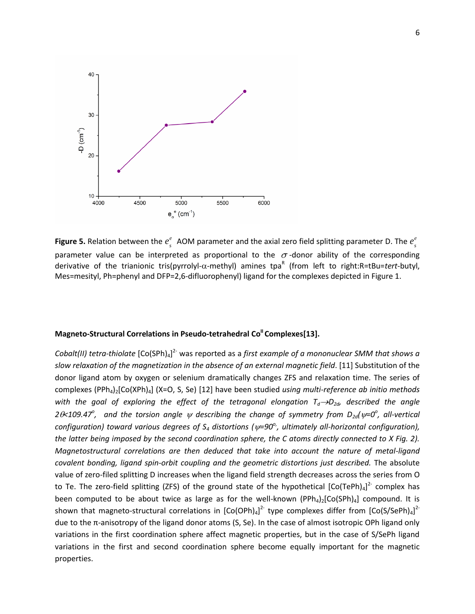

**Figure 5.** Relation between the  $e_s^e$  AOM parameter and the axial zero field splitting parameter D. The  $e_s^e$ parameter value can be interpreted as proportional to the  $\sigma$ -donor ability of the corresponding derivative of the trianionic tris(pyrrolyl-α-methyl) amines tpa<sup>R</sup> (from left to right:R=tBu=tert-butyl, Mes=mesityl, Ph=phenyl and DFP=2,6-difluorophenyl) ligand for the complexes depicted in Figure 1.

## **Magneto-Structural Correlations in Pseudo-tetrahedral Co<sup>II</sup> Complexes[13].**

Cobalt(II) tetra-thiolate [Co(SPh)<sub>4</sub>]<sup>2-</sup> was reported as a *first example of a mononuclear SMM that shows a slow relaxation of the magnetization in the absence of an external magnetic field*. [11] Substitution of the donor ligand atom by oxygen or selenium dramatically changes ZFS and relaxation time. The series of complexes (PPh4)2[Co(XPh)4] (X=O, S, Se) [12] have been studied *using multi-reference ab initio methods with the goal of exploring the effect of the tetragonal elongation*  $T_d \rightarrow D_{2d}$ *, described the angle*  $2\theta$  *2* $\theta$  *20 20 A109.47*<sup>*o*</sup>, and the torsion angle  $\psi$  describing the change of symmetry from  $D_{2d}(\psi=0^{\circ})$ , all-vertical *configuration) toward various degrees of S<sup>4</sup> distortions (=90o,, ultimately all-horizontal configuration), the latter being imposed by the second coordination sphere, the C atoms directly connected to X Fig. 2). Magnetostructural correlations are then deduced that take into account the nature of metal-ligand covalent bonding, ligand spin-orbit coupling and the geometric distortions just described.* The absolute value of zero-filed splitting D increases when the ligand field strength decreases across the series from O to Te. The zero-field splitting (ZFS) of the ground state of the hypothetical  $[Co(TePh)_4]^2$  complex has been computed to be about twice as large as for the well-known (PPh<sub>4</sub>)<sub>2</sub>[Co(SPh)<sub>4</sub>] compound. It is shown that magneto-structural correlations in  $[Co(OPh)_4]^{2}$  type complexes differ from  $[Co(S/SePh)_4]^{2}$ due to the π-anisotropy of the ligand donor atoms (S, Se). In the case of almost isotropic OPh ligand only variations in the first coordination sphere affect magnetic properties, but in the case of S/SePh ligand variations in the first and second coordination sphere become equally important for the magnetic properties.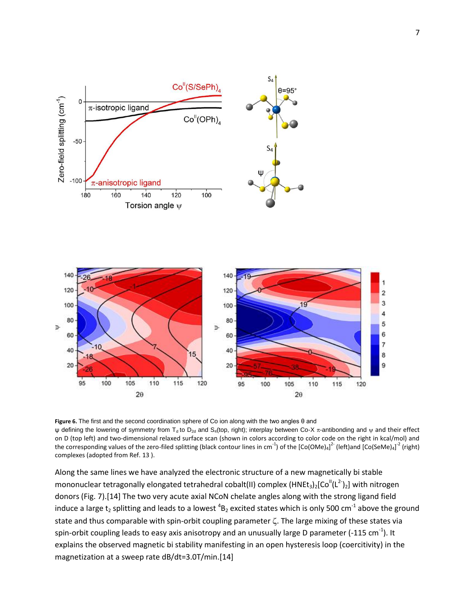

**Figure 6.** The first and the second coordination sphere of Co ion along with the two angles θ and ψ defining the lowering of symmetry from T<sub>d</sub> to D<sub>2d</sub> and S<sub>4</sub>(top, right); interplay between Co-X π-antibonding and  $ψ$  and their effect on D (top left) and two-dimensional relaxed surface scan (shown in colors according to color code on the right in kcal/mol) and the corresponding values of the zero-filed splitting (black contour lines in cm<sup>-1</sup>) of the [Co(OMe)<sub>4</sub>]<sup>2-</sup> (left)and [Co(SeMe)<sub>4</sub>]<sup>-2</sup> (right) complexes (adopted from Ref. 13 ).

Along the same lines we have analyzed the electronic structure of a new magnetically bi stable mononuclear tetragonally elongated tetrahedral cobalt(II) complex (HNEt<sub>3</sub>)<sub>2</sub>[Co<sup>ll</sup>(L<sup>2-</sup>)<sub>2</sub>] with nitrogen donors (Fig. 7).[14] The two very acute axial NCoN chelate angles along with the strong ligand field induce a large t<sub>2</sub> splitting and leads to a lowest <sup>4</sup>B<sub>2</sub> excited states which is only 500 cm<sup>-1</sup> above the ground state and thus comparable with spin-orbit coupling parameter  $\zeta$ . The large mixing of these states via spin-orbit coupling leads to easy axis anisotropy and an unusually large D parameter (-115 cm<sup>-1</sup>). It explains the observed magnetic bi stability manifesting in an open hysteresis loop (coercitivity) in the magnetization at a sweep rate dB/dt=3.0T/min.[14]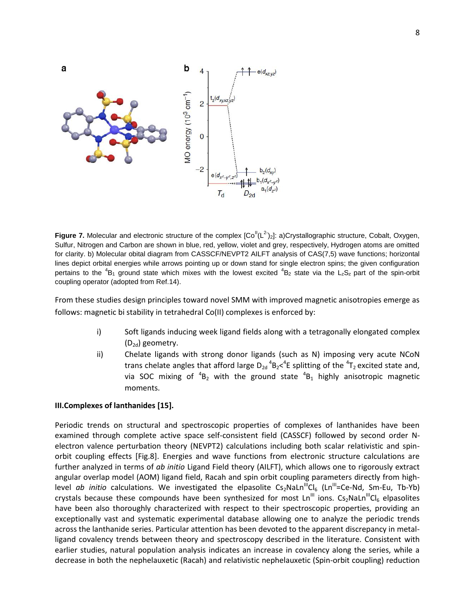

Figure 7. Molecular and electronic structure of the complex [Co<sup>ll</sup>(L<sup>2-</sup>)<sub>2</sub>]: a)Crystallographic structure, Cobalt, Oxygen, Sulfur, Nitrogen and Carbon are shown in blue, red, yellow, violet and grey, respectively, Hydrogen atoms are omitted for clarity. b) Molecular obital diagram from CASSCF/NEVPT2 AILFT analysis of CAS(7,5) wave functions; horizontal lines depict orbital energies while arrows pointing up or down stand for single electron spins; the given configuration pertains to the  ${}^{4}B_1$  ground state which mixes with the lowest excited  ${}^{4}B_2$  state via the L<sub>z</sub>S<sub>z</sub> part of the spin-orbit coupling operator (adopted from Ref.14).

From these studies design principles toward novel SMM with improved magnetic anisotropies emerge as follows: magnetic bi stability in tetrahedral Co(II) complexes is enforced by:

- i) Soft ligands inducing week ligand fields along with a tetragonally elongated complex  $(D_{2d})$  geometry.
- ii) Chelate ligands with strong donor ligands (such as N) imposing very acute NCoN trans chelate angles that afford large  $D_{2d}$ <sup>4</sup>B<sub>2</sub><<sup>4</sup>E splitting of the <sup>4</sup>T<sub>2</sub> excited state and, via SOC mixing of  ${}^{4}B_2$  with the ground state  ${}^{4}B_1$  highly anisotropic magnetic moments.

### **III.Complexes of lanthanides [15].**

Periodic trends on structural and spectroscopic properties of complexes of lanthanides have been examined through complete active space self-consistent field (CASSCF) followed by second order Nelectron valence perturbation theory (NEVPT2) calculations including both scalar relativistic and spinorbit coupling effects [Fig.8]. Energies and wave functions from electronic structure calculations are further analyzed in terms of *ab initio* Ligand Field theory (AILFT), which allows one to rigorously extract angular overlap model (AOM) ligand field, Racah and spin orbit coupling parameters directly from highlevel *ab initio* calculations. We investigated the elpasolite  $Cs_2Naln^{\text{III}}Cl_6$  (Ln<sup>III</sup>=Ce-Nd, Sm-Eu, Tb-Yb) crystals because these compounds have been synthesized for most  $Ln^{III}$  ions. Cs<sub>2</sub>NaLn<sup>III</sup>Cl<sub>6</sub> elpasolites have been also thoroughly characterized with respect to their spectroscopic properties, providing an exceptionally vast and systematic experimental database allowing one to analyze the periodic trends across the lanthanide series. Particular attention has been devoted to the apparent discrepancy in metalligand covalency trends between theory and spectroscopy described in the literature. Consistent with earlier studies, natural population analysis indicates an increase in covalency along the series, while a decrease in both the nephelauxetic (Racah) and relativistic nephelauxetic (Spin-orbit coupling) reduction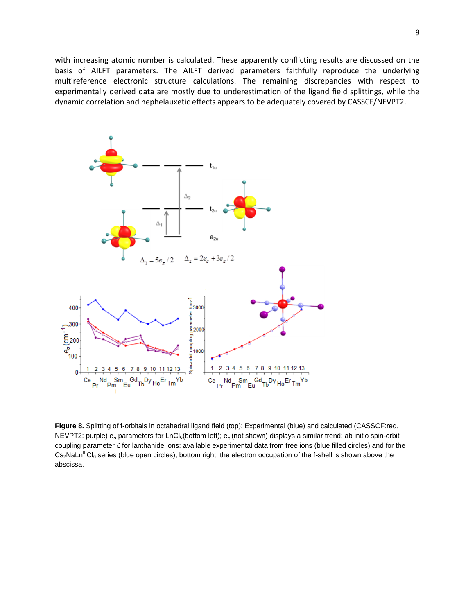with increasing atomic number is calculated. These apparently conflicting results are discussed on the basis of AILFT parameters. The AILFT derived parameters faithfully reproduce the underlying multireference electronic structure calculations. The remaining discrepancies with respect to experimentally derived data are mostly due to underestimation of the ligand field splittings, while the dynamic correlation and nephelauxetic effects appears to be adequately covered by CASSCF/NEVPT2.



**Figure 8.** Splitting of f-orbitals in octahedral ligand field (top); Experimental (blue) and calculated (CASSCF:red, NEVPT2: purple)  $e_a$  parameters for LnCl<sub>6</sub>(bottom left);  $e_a$  (not shown) displays a similar trend; ab initio spin-orbit coupling parameter  $\zeta$  for lanthanide ions: available experimental data from free ions (blue filled circles) and for the Cs<sub>2</sub>NaLn<sup>III</sup>Cl<sub>6</sub> series (blue open circles), bottom right; the electron occupation of the f-shell is shown above the abscissa.